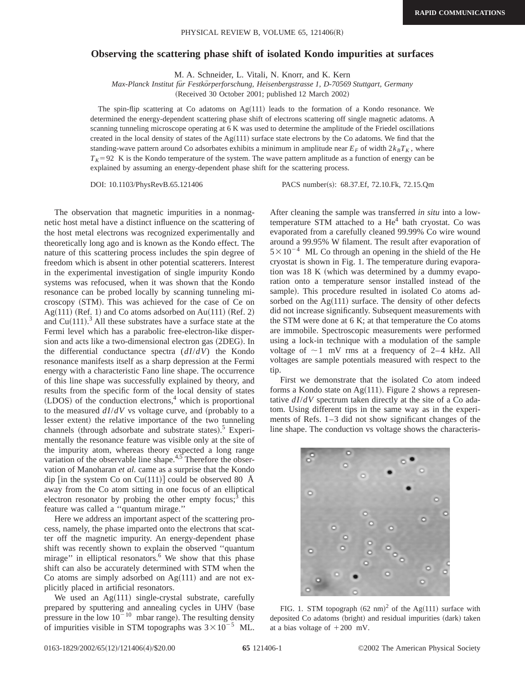## **Observing the scattering phase shift of isolated Kondo impurities at surfaces**

M. A. Schneider, L. Vitali, N. Knorr, and K. Kern

*Max-Planck Institut fu¨r Festko¨rperforschung, Heisenbergstrasse 1, D-70569 Stuttgart, Germany*

(Received 30 October 2001; published 12 March 2002)

The spin-flip scattering at Co adatoms on  $Ag(111)$  leads to the formation of a Kondo resonance. We determined the energy-dependent scattering phase shift of electrons scattering off single magnetic adatoms. A scanning tunneling microscope operating at 6 K was used to determine the amplitude of the Friedel oscillations created in the local density of states of the Ag $(111)$  surface state electrons by the Co adatoms. We find that the standing-wave pattern around Co adsorbates exhibits a minimum in amplitude near  $E_F$  of width  $2k_B T_K$ , where  $T_K$ =92 K is the Kondo temperature of the system. The wave pattern amplitude as a function of energy can be explained by assuming an energy-dependent phase shift for the scattering process.

DOI: 10.1103/PhysRevB.65.121406 PACS number(s): 68.37.Ef, 72.10.Fk, 72.15.Qm

The observation that magnetic impurities in a nonmagnetic host metal have a distinct influence on the scattering of the host metal electrons was recognized experimentally and theoretically long ago and is known as the Kondo effect. The nature of this scattering process includes the spin degree of freedom which is absent in other potential scatterers. Interest in the experimental investigation of single impurity Kondo systems was refocused, when it was shown that the Kondo resonance can be probed locally by scanning tunneling microscopy (STM). This was achieved for the case of Ce on Ag $(111)$  (Ref. 1) and Co atoms adsorbed on Au $(111)$  (Ref. 2) and Cu $(111)$ .<sup>3</sup> All these substrates have a surface state at the Fermi level which has a parabolic free-electron-like dispersion and acts like a two-dimensional electron gas  $(2DEG)$ . In the differential conductance spectra (*dI*/*dV*) the Kondo resonance manifests itself as a sharp depression at the Fermi energy with a characteristic Fano line shape. The occurrence of this line shape was successfully explained by theory, and results from the specific form of the local density of states  $(LDOS)$  of the conduction electrons,<sup>4</sup> which is proportional to the measured  $dI/dV$  vs voltage curve, and (probably to a lesser extent) the relative importance of the two tunneling channels (through adsorbate and substrate states).<sup>5</sup> Experimentally the resonance feature was visible only at the site of the impurity atom, whereas theory expected a long range variation of the observable line shape.<sup>4,5</sup> Therefore the observation of Manoharan *et al.* came as a surprise that the Kondo dip  $\left[$  in the system Co on Cu(111) $\right]$  could be observed 80 Å away from the Co atom sitting in one focus of an elliptical electron resonator by probing the other empty focus; $3$  this feature was called a ''quantum mirage.''

Here we address an important aspect of the scattering process, namely, the phase imparted onto the electrons that scatter off the magnetic impurity. An energy-dependent phase shift was recently shown to explain the observed ''quantum mirage" in elliptical resonators.<sup>6</sup> We show that this phase shift can also be accurately determined with STM when the Co atoms are simply adsorbed on  $Ag(111)$  and are not explicitly placed in artificial resonators.

We used an  $Ag(111)$  single-crystal substrate, carefully prepared by sputtering and annealing cycles in UHV (base pressure in the low  $10^{-10}$  mbar range). The resulting density of impurities visible in STM topographs was  $3 \times 10^{-5}$  ML.

After cleaning the sample was transferred *in situ* into a lowtemperature STM attached to a  $He<sup>4</sup>$  bath cryostat. Co was evaporated from a carefully cleaned 99.99% Co wire wound around a 99.95% W filament. The result after evaporation of  $5 \times 10^{-4}$  ML Co through an opening in the shield of the He cryostat is shown in Fig. 1. The temperature during evaporation was  $18 K$  (which was determined by a dummy evaporation onto a temperature sensor installed instead of the sample). This procedure resulted in isolated Co atoms adsorbed on the  $Ag(111)$  surface. The density of other defects did not increase significantly. Subsequent measurements with the STM were done at 6 K; at that temperature the Co atoms are immobile. Spectroscopic measurements were performed using a lock-in technique with a modulation of the sample voltage of  $\sim$ 1 mV rms at a frequency of 2–4 kHz. All voltages are sample potentials measured with respect to the tip.

First we demonstrate that the isolated Co atom indeed forms a Kondo state on  $Ag(111)$ . Figure 2 shows a representative *dI*/*dV* spectrum taken directly at the site of a Co adatom. Using different tips in the same way as in the experiments of Refs. 1–3 did not show significant changes of the line shape. The conduction vs voltage shows the characteris-



FIG. 1. STM topograph  $(62 \text{ nm})^2$  of the Ag $(111)$  surface with deposited Co adatoms (bright) and residual impurities (dark) taken at a bias voltage of  $+200$  mV.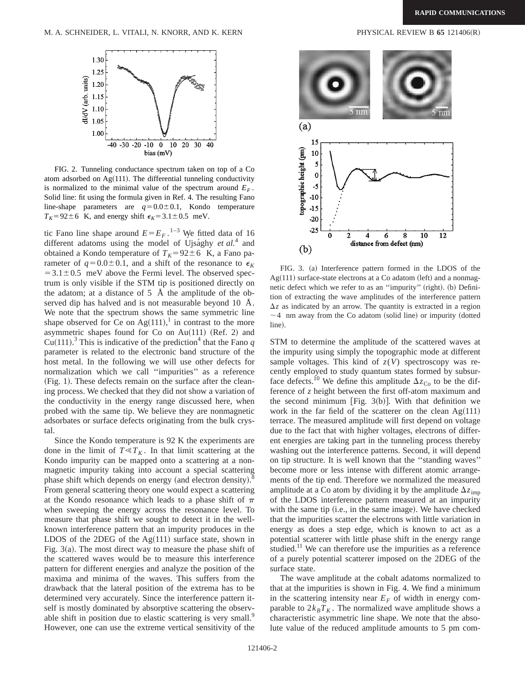

FIG. 2. Tunneling conductance spectrum taken on top of a Co atom adsorbed on  $Ag(111)$ . The differential tunneling conductivity is normalized to the minimal value of the spectrum around  $E_F$ . Solid line: fit using the formula given in Ref. 4. The resulting Fano line-shape parameters are  $q=0.0\pm0.1$ , Kondo temperature  $T_K$ =92±6 K, and energy shift  $\epsilon_K$ =3.1±0.5 meV.

tic Fano line shape around  $E = E_F$ .<sup>1–3</sup> We fitted data of 16 different adatoms using the model of Ujsa<sup>ghy *et al.*<sup>4</sup> and</sup> obtained a Kondo temperature of  $T_K=92\pm 6$  K, a Fano parameter of  $q=0.0\pm0.1$ , and a shift of the resonance to  $\epsilon_K$  $=3.1\pm0.5$  meV above the Fermi level. The observed spectrum is only visible if the STM tip is positioned directly on the adatom; at a distance of  $5\,$  Å the amplitude of the observed dip has halved and is not measurable beyond 10 Å. We note that the spectrum shows the same symmetric line shape observed for Ce on  $Ag(111),<sup>1</sup>$  in contrast to the more asymmetric shapes found for Co on Au $(111)$  (Ref. 2) and Cu(111).<sup>3</sup> This is indicative of the prediction<sup>4</sup> that the Fano  $q$ parameter is related to the electronic band structure of the host metal. In the following we will use other defects for normalization which we call ''impurities'' as a reference (Fig. 1). These defects remain on the surface after the cleaning process. We checked that they did not show a variation of the conductivity in the energy range discussed here, when probed with the same tip. We believe they are nonmagnetic adsorbates or surface defects originating from the bulk crystal.

Since the Kondo temperature is 92 K the experiments are done in the limit of  $T \ll T_K$ . In that limit scattering at the Kondo impurity can be mapped onto a scattering at a nonmagnetic impurity taking into account a special scattering phase shift which depends on energy (and electron density). $^{\overline{8}}$ From general scattering theory one would expect a scattering at the Kondo resonance which leads to a phase shift of  $\pi$ when sweeping the energy across the resonance level. To measure that phase shift we sought to detect it in the wellknown interference pattern that an impurity produces in the LDOS of the 2DEG of the  $Ag(111)$  surface state, shown in Fig.  $3(a)$ . The most direct way to measure the phase shift of the scattered waves would be to measure this interference pattern for different energies and analyze the position of the maxima and minima of the waves. This suffers from the drawback that the lateral position of the extrema has to be determined very accurately. Since the interference pattern itself is mostly dominated by absorptive scattering the observable shift in position due to elastic scattering is very small.<sup>9</sup> However, one can use the extreme vertical sensitivity of the



FIG. 3. (a) Interference pattern formed in the LDOS of the  $Ag(111)$  surface-state electrons at a Co adatom (left) and a nonmagnetic defect which we refer to as an "impurity" (right). (b) Definition of extracting the wave amplitudes of the interference pattern  $\Delta z$  as indicated by an arrow. The quantity is extracted in a region  $\sim$  4 nm away from the Co adatom (solid line) or impurity (dotted line).

STM to determine the amplitude of the scattered waves at the impurity using simply the topographic mode at different sample voltages. This kind of  $z(V)$  spectroscopy was recently employed to study quantum states formed by subsurface defects.<sup>10</sup> We define this amplitude  $\Delta z_{\text{Co}}$  to be the difference of *z* height between the first off-atom maximum and the second minimum [Fig. 3(b)]. With that definition we work in the far field of the scatterer on the clean  $Ag(111)$ terrace. The measured amplitude will first depend on voltage due to the fact that with higher voltages, electrons of different energies are taking part in the tunneling process thereby washing out the interference patterns. Second, it will depend on tip structure. It is well known that the ''standing waves'' become more or less intense with different atomic arrangements of the tip end. Therefore we normalized the measured amplitude at a Co atom by dividing it by the amplitude  $\Delta z_{\text{imp}}$ of the LDOS interference pattern measured at an impurity with the same tip (i.e., in the same image). We have checked that the impurities scatter the electrons with little variation in energy as does a step edge, which is known to act as a potential scatterer with little phase shift in the energy range studied.<sup>11</sup> We can therefore use the impurities as a reference of a purely potential scatterer imposed on the 2DEG of the surface state.

The wave amplitude at the cobalt adatoms normalized to that at the impurities is shown in Fig. 4. We find a minimum in the scattering intensity near  $E_F$  of width in energy comparable to  $2k_B T_K$ . The normalized wave amplitude shows a characteristic asymmetric line shape. We note that the absolute value of the reduced amplitude amounts to 5 pm com-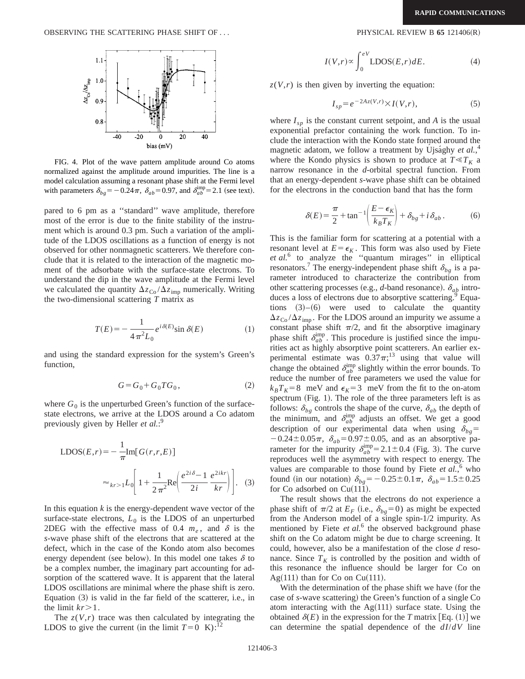

FIG. 4. Plot of the wave pattern amplitude around Co atoms normalized against the amplitude around impurities. The line is a model calculation assuming a resonant phase shift at the Fermi level with parameters  $\delta_{bg} = -0.24\pi$ ,  $\delta_{ab} = 0.97$ , and  $\delta_{ab}^{\text{imp}} = 2.1$  (see text).

pared to 6 pm as a ''standard'' wave amplitude, therefore most of the error is due to the finite stability of the instrument which is around 0.3 pm. Such a variation of the amplitude of the LDOS oscillations as a function of energy is not observed for other nonmagnetic scatterers. We therefore conclude that it is related to the interaction of the magnetic moment of the adsorbate with the surface-state electrons. To understand the dip in the wave amplitude at the Fermi level we calculated the quantity  $\Delta z_{\text{Co}} / \Delta z_{\text{imp}}$  numerically. Writing the two-dimensional scattering *T* matrix as

$$
T(E) = -\frac{1}{4\pi^2 L_0} e^{i\delta(E)} \sin \delta(E)
$$
 (1)

and using the standard expression for the system's Green's function,

$$
G = G_0 + G_0 T G_0, \qquad (2)
$$

where  $G_0$  is the unperturbed Green's function of the surfacestate electrons, we arrive at the LDOS around a Co adatom previously given by Heller *et al.*: 9

$$
\text{LDOS}(E,r) = -\frac{1}{\pi} \text{Im}[G(r,r,E)]
$$

$$
\approx_{kr>1} L_0 \left[1 + \frac{1}{2\pi^2} \text{Re}\left(\frac{e^{2i\delta} - 1}{2i} \frac{e^{2ikr}}{kr}\right)\right]. \quad (3)
$$

In this equation  $k$  is the energy-dependent wave vector of the surface-state electrons,  $L_0$  is the LDOS of an unperturbed 2DEG with the effective mass of 0.4  $m_e$ , and  $\delta$  is the *s*-wave phase shift of the electrons that are scattered at the defect, which in the case of the Kondo atom also becomes energy dependent (see below). In this model one takes  $\delta$  to be a complex number, the imaginary part accounting for adsorption of the scattered wave. It is apparent that the lateral LDOS oscillations are minimal where the phase shift is zero. Equation  $(3)$  is valid in the far field of the scatterer, i.e., in the limit  $kr > 1$ .

The  $z(V,r)$  trace was then calculated by integrating the LDOS to give the current (in the limit  $T=0$  K):<sup>12</sup>

$$
I(V,r) \propto \int_0^{eV} \text{LDOS}(E,r) dE. \tag{4}
$$

 $z(V,r)$  is then given by inverting the equation:

$$
I_{sp} = e^{-2Az(V,r)} \times I(V,r),\tag{5}
$$

where  $I_{sp}$  is the constant current setpoint, and *A* is the usual exponential prefactor containing the work function. To include the interaction with the Kondo state formed around the magnetic adatom, we follow a treatment by Ujsághy *et al.*,<sup>4</sup> where the Kondo physics is shown to produce at  $T \ll T_K$  a narrow resonance in the *d*-orbital spectral function. From that an energy-dependent *s*-wave phase shift can be obtained for the electrons in the conduction band that has the form

$$
\delta(E) = \frac{\pi}{2} + \tan^{-1} \left( \frac{E - \epsilon_K}{k_B T_K} \right) + \delta_{bg} + i \delta_{ab} \,. \tag{6}
$$

This is the familiar form for scattering at a potential with a resonant level at  $E = \epsilon_K$ . This form was also used by Fiete *et al.*<sup>6</sup> to analyze the ''quantum mirages'' in elliptical resonators.<sup>7</sup> The energy-independent phase shift  $\delta_{bg}$  is a parameter introduced to characterize the contribution from other scattering processes (e.g., *d*-band resonance).  $\delta_{ab}$  introduces a loss of electrons due to absorptive scattering.<sup>9</sup> Equations  $(3)$ – $(6)$  were used to calculate the quantity  $\Delta z_{\text{Co}} / \Delta z_{\text{imp}}$ . For the LDOS around an impurity we assume a constant phase shift  $\pi/2$ , and fit the absorptive imaginary phase shift  $\delta_{ab}^{\text{imp}}$ . This procedure is justified since the impurities act as highly absorptive point scatterers. An earlier experimental estimate was  $0.37\pi$ ;<sup>13</sup> using that value will change the obtained  $\delta_{ab}^{\text{imp}}$  slightly within the error bounds. To reduce the number of free parameters we used the value for  $k_B T_K = 8$  meV and  $\epsilon_K = 3$  meV from the fit to the on-atom spectrum (Fig. 1). The role of the three parameters left is as follows:  $\delta_{bg}$  controls the shape of the curve,  $\delta_{ab}$  the depth of the minimum, and  $\delta_{ab}^{\text{imp}}$  adjusts an offset. We get a good description of our experimental data when using  $\delta_{bg}$ =  $-0.24 \pm 0.05 \pi$ ,  $\delta_{ab} = 0.97 \pm 0.05$ , and as an absorptive parameter for the impurity  $\delta_{ab}^{\text{imp}}=2.1\pm0.4$  (Fig. 3). The curve reproduces well the asymmetry with respect to energy. The values are comparable to those found by Fiete et al.,<sup>6</sup> who found (in our notation)  $\delta_{b} = -0.25 \pm 0.1 \pi$ ,  $\delta_{ab} = 1.5 \pm 0.25$ for Co adsorbed on  $Cu(111)$ .

The result shows that the electrons do not experience a phase shift of  $\pi/2$  at  $E_F$  (i.e.,  $\delta_{bg} = 0$ ) as might be expected from the Anderson model of a single spin-1/2 impurity. As mentioned by Fiete *et al.*<sup>6</sup> the observed background phase shift on the Co adatom might be due to charge screening. It could, however, also be a manifestation of the close *d* resonance. Since  $T_K$  is controlled by the position and width of this resonance the influence should be larger for Co on Ag $(111)$  than for Co on Cu $(111)$ .

With the determination of the phase shift we have (for the case of *s*-wave scattering) the Green's function of a single Co atom interacting with the  $Ag(111)$  surface state. Using the obtained  $\delta(E)$  in the expression for the *T* matrix [Eq. (1)] we can determine the spatial dependence of the *dI*/*dV* line